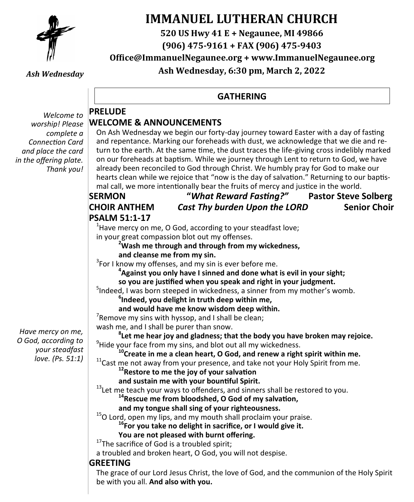

# **IMMANUEL LUTHERAN CHURCH**

**520 US Hwy 41 E + Negaunee, MI 49866**

**(906) 475-9161 + FAX (906) 475-9403**

**Office@ImmanuelNegaunee.org + www.ImmanuelNegaunee.org Ash Wednesday, 6:30 pm, March 2, 2022**

**GATHERING**

*Ash Wednesday*

#### *Welcome to worship! Please complete a Connection Card and place the card in the offering plate. Thank you!*

**PRELUDE WELCOME & ANNOUNCEMENTS** 

On Ash Wednesday we begin our forty-day journey toward Easter with a day of fasting and repentance. Marking our foreheads with dust, we acknowledge that we die and return to the earth. At the same time, the dust traces the life-giving cross indelibly marked on our foreheads at baptism. While we journey through Lent to return to God, we have already been reconciled to God through Christ. We humbly pray for God to make our hearts clean while we rejoice that "now is the day of salvation." Returning to our baptismal call, we more intentionally bear the fruits of mercy and justice in the world.

### **SERMON "***What Reward Fasting?"* **Pastor Steve Solberg CHOIR ANTHEM** *Cast Thy burden Upon the LORD* **Senior Choir PSALM 51:1-17**

 $^{1}$ Have mercy on me, O God, according to your steadfast love; in your great compassion blot out my offenses.

**<sup>2</sup>Wash me through and through from my wickedness, and cleanse me from my sin.**

 $3$ For I know my offenses, and my sin is ever before me.

**4 Against you only have I sinned and done what is evil in your sight; so you are justified when you speak and right in your judgment.**

5 Indeed, I was born steeped in wickedness, a sinner from my mother's womb.

**6 Indeed, you delight in truth deep within me,**

 **and would have me know wisdom deep within.**

 $7$ Remove my sins with hyssop, and I shall be clean;

wash me, and I shall be purer than snow.

**8 Let me hear joy and gladness; that the body you have broken may rejoice.** <sup>9</sup> Hide your face from my sins, and blot out all my wickedness.

**<sup>10</sup>Create in me a clean heart, O God, and renew a right spirit within me.**

 $11$ Cast me not away from your presence, and take not your Holy Spirit from me.

**<sup>12</sup>Restore to me the joy of your salvation** 

**and sustain me with your bountiful Spirit.**

<sup>13</sup>Let me teach your ways to offenders, and sinners shall be restored to you.

**<sup>14</sup>Rescue me from bloodshed, O God of my salvation,**

 **and my tongue shall sing of your righteousness.**

<sup>15</sup>O Lord, open my lips, and my mouth shall proclaim your praise.

**<sup>16</sup>For you take no delight in sacrifice, or I would give it.**

 **You are not pleased with burnt offering.**

<sup>17</sup>The sacrifice of God is a troubled spirit;

a troubled and broken heart, O God, you will not despise.

# **GREETING**

The grace of our Lord Jesus Christ, the love of God, and the communion of the Holy Spirit be with you all. **And also with you.** 

*Have mercy on me, O God, according to your steadfast love. (Ps. 51:1)*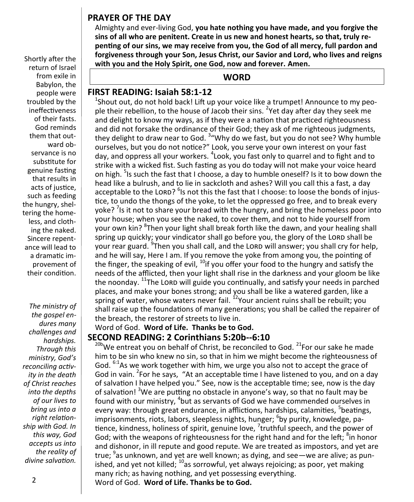### **PRAYER OF THE DAY**

Almighty and ever-living God, **you hate nothing you have made, and you forgive the sins of all who are penitent. Create in us new and honest hearts, so that, truly repenting of our sins, we may receive from you, the God of all mercy, full pardon and forgiveness through your Son, Jesus Christ, our Savior and Lord, who lives and reigns with you and the Holy Spirit, one God, now and forever. Amen.**

**WORD**

### **FIRST READING: Isaiah 58:1-12**

<sup>1</sup>Shout out, do not hold back! Lift up your voice like a trumpet! Announce to my people their rebellion, to the house of Jacob their sins. <sup>2</sup>Yet day after day they seek me and delight to know my ways, as if they were a nation that practiced righteousness and did not forsake the ordinance of their God; they ask of me righteous judgments, they delight to draw near to God. <sup>3</sup> "Why do we fast, but you do not see? Why humble ourselves, but you do not notice?" Look, you serve your own interest on your fast day, and oppress all your workers. <sup>4</sup>Look, you fast only to quarrel and to fight and to strike with a wicked fist. Such fasting as you do today will not make your voice heard on high. <sup>5</sup>Is such the fast that I choose, a day to humble oneself? Is it to bow down the head like a bulrush, and to lie in sackcloth and ashes? Will you call this a fast, a day acceptable to the LORD? <sup>6</sup>Is not this the fast that I choose: to loose the bonds of injustice, to undo the thongs of the yoke, to let the oppressed go free, and to break every yoke? <sup>7</sup>Is it not to share your bread with the hungry, and bring the homeless poor into your house; when you see the naked, to cover them, and not to hide yourself from your own kin? <sup>8</sup>Then your light shall break forth like the dawn, and your healing shall spring up quickly; your vindicator shall go before you, the glory of the LORD shall be your rear guard. <sup>9</sup>Then you shall call, and the LORD will answer; you shall cry for help, and he will say, Here I am. If you remove the yoke from among you, the pointing of the finger, the speaking of evil,  $^{10}$ if you offer your food to the hungry and satisfy the needs of the afflicted, then your light shall rise in the darkness and your gloom be like the noonday. <sup>11</sup>The LORD will guide you continually, and satisfy your needs in parched places, and make your bones strong; and you shall be like a watered garden, like a spring of water, whose waters never fail. <sup>12</sup>Your ancient ruins shall be rebuilt; vou shall raise up the foundations of many generations; you shall be called the repairer of the breach, the restorer of streets to live in.

#### Word of God. **Word of Life. Thanks be to God. SECOND READING: 2 Corinthians 5:20b--6:10**

 $20b$ We entreat you on behalf of Christ, be reconciled to God.  $21$ For our sake he made him to be sin who knew no sin, so that in him we might become the righteousness of God. <sup>6:1</sup>As we work together with him, we urge you also not to accept the grace of God in vain. <sup>2</sup> For he says, "At an acceptable time I have listened to you, and on a day of salvation I have helped you." See, now is the acceptable time; see, now is the day of salvation! <sup>3</sup>We are putting no obstacle in anyone's way, so that no fault may be found with our ministry, <sup>4</sup>but as servants of God we have commended ourselves in every way: through great endurance, in afflictions, hardships, calamities, <sup>5</sup>beatings, imprisonments, riots, labors, sleepless nights, hunger; <sup>6</sup>by purity, knowledge, patience, kindness, holiness of spirit, genuine love, <sup>7</sup>truthful speech, and the power of God; with the weapons of righteousness for the right hand and for the left; <sup>8</sup>in honor and dishonor, in ill repute and good repute. We are treated as impostors, and yet are true; <sup>9</sup>as unknown, and yet are well known; as dying, and see—we are alive; as punished, and yet not killed; <sup>10</sup>as sorrowful, yet always rejoicing; as poor, yet making many rich; as having nothing, and yet possessing everything. Word of God. **Word of Life. Thanks be to God.** 

Shortly after the return of Israel from exile in Babylon, the people were troubled by the ineffectiveness of their fasts. God reminds them that outward observance is no substitute for genuine fasting that results in acts of justice, such as feeding the hungry, sheltering the homeless, and clothing the naked. Sincere repentance will lead to a dramatic improvement of their condition.

*The ministry of the gospel endures many challenges and hardships. Through this ministry, God's reconciling activity in the death of Christ reaches into the depths of our lives to bring us into a right relationship with God. In this way, God accepts us into the reality of divine salvation.*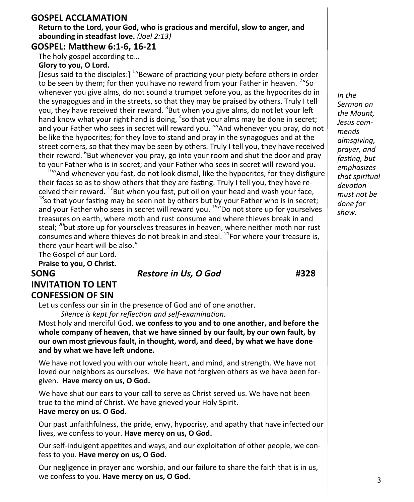#### **GOSPEL ACCLAMATION**

**Return to the Lord, your God, who is gracious and merciful, slow to anger, and abounding in steadfast love.** *(Joel 2:13)*

#### **GOSPEL: Matthew 6:1-6, 16-21**

The holy gospel according to…

#### **Glory to you, O Lord.**

[Jesus said to the disciples:] <sup>1</sup> Beware of practicing your piety before others in order to be seen by them; for then you have no reward from your Father in heaven. <sup>2</sup> "So whenever you give alms, do not sound a trumpet before you, as the hypocrites do in the synagogues and in the streets, so that they may be praised by others. Truly I tell you, they have received their reward. <sup>3</sup>But when you give alms, do not let your left hand know what your right hand is doing,  $^4$ so that your alms may be done in secret; and your Father who sees in secret will reward you. <sup>5</sup> And whenever you pray, do not be like the hypocrites; for they love to stand and pray in the synagogues and at the street corners, so that they may be seen by others. Truly I tell you, they have received their reward. <sup>6</sup>But whenever you pray, go into your room and shut the door and pray to your Father who is in secret; and your Father who sees in secret will reward you.

<sup>6</sup>"And whenever you fast, do not look dismal, like the hypocrites, for they disfigure their faces so as to show others that they are fasting. Truly I tell you, they have received their reward.  $^{17}$ But when you fast, put oil on your head and wash your face,  $18$ so that your fasting may be seen not by others but by your Father who is in secret; and your Father who sees in secret will reward you.<sup>19"</sup>Do not store up for yourselves treasures on earth, where moth and rust consume and where thieves break in and steal; <sup>20</sup>but store up for yourselves treasures in heaven, where neither moth nor rust consumes and where thieves do not break in and steal. <sup>21</sup>For where your treasure is, there your heart will be also."

The Gospel of our Lord.

**Praise to you, O Christ.**

### **SONG** *Restore in Us, O God* **#328 INVITATION TO LENT CONFESSION OF SIN**

Let us confess our sin in the presence of God and of one another.

*Silence is kept for reflection and self-examination.*

Most holy and merciful God, **we confess to you and to one another, and before the whole company of heaven, that we have sinned by our fault, by our own fault, by our own most grievous fault, in thought, word, and deed, by what we have done and by what we have left undone.**

We have not loved you with our whole heart, and mind, and strength. We have not loved our neighbors as ourselves. We have not forgiven others as we have been forgiven. **Have mercy on us, O God.**

We have shut our ears to your call to serve as Christ served us. We have not been true to the mind of Christ. We have grieved your Holy Spirit. **Have mercy on us. O God.**

Our past unfaithfulness, the pride, envy, hypocrisy, and apathy that have infected our lives, we confess to your. **Have mercy on us, O God.**

Our self-indulgent appetites and ways, and our exploitation of other people, we confess to you. **Have mercy on us, O God.**

Our negligence in prayer and worship, and our failure to share the faith that is in us, we confess to you. **Have mercy on us, O God.**

*In the Sermon on the Mount, Jesus commends almsgiving, prayer, and fasting, but emphasizes that spiritual devotion must not be done for show.*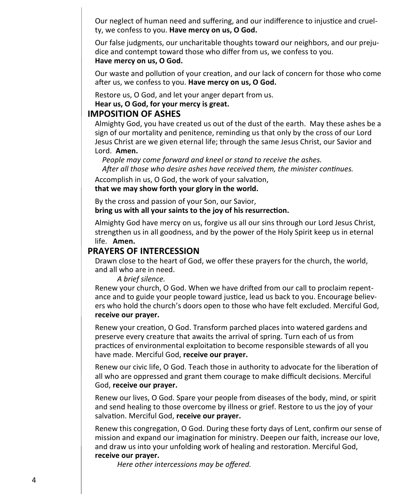Our neglect of human need and suffering, and our indifference to injustice and cruelty, we confess to you. **Have mercy on us, O God.**

Our false judgments, our uncharitable thoughts toward our neighbors, and our prejudice and contempt toward those who differ from us, we confess to you.

#### **Have mercy on us, O God.**

Our waste and pollution of your creation, and our lack of concern for those who come after us, we confess to you. **Have mercy on us, O God.**

Restore us, O God, and let your anger depart from us.

**Hear us, O God, for your mercy is great.**

#### **IMPOSITION OF ASHES**

Almighty God, you have created us out of the dust of the earth. May these ashes be a sign of our mortality and penitence, reminding us that only by the cross of our Lord Jesus Christ are we given eternal life; through the same Jesus Christ, our Savior and Lord. **Amen.**

*People may come forward and kneel or stand to receive the ashes. After all those who desire ashes have received them, the minister continues.*

Accomplish in us, O God, the work of your salvation,

**that we may show forth your glory in the world.**

By the cross and passion of your Son, our Savior, **bring us with all your saints to the joy of his resurrection.**

Almighty God have mercy on us, forgive us all our sins through our Lord Jesus Christ, strengthen us in all goodness, and by the power of the Holy Spirit keep us in eternal life. **Amen.**

#### **PRAYERS OF INTERCESSION**

Drawn close to the heart of God, we offer these prayers for the church, the world, and all who are in need.

#### *A brief silence.*

Renew your church, O God. When we have drifted from our call to proclaim repentance and to guide your people toward justice, lead us back to you. Encourage believers who hold the church's doors open to those who have felt excluded. Merciful God, **receive our prayer.**

Renew your creation, O God. Transform parched places into watered gardens and preserve every creature that awaits the arrival of spring. Turn each of us from practices of environmental exploitation to become responsible stewards of all you have made. Merciful God, **receive our prayer.**

Renew our civic life, O God. Teach those in authority to advocate for the liberation of all who are oppressed and grant them courage to make difficult decisions. Merciful God, **receive our prayer.**

Renew our lives, O God. Spare your people from diseases of the body, mind, or spirit and send healing to those overcome by illness or grief. Restore to us the joy of your salvation. Merciful God, **receive our prayer.**

Renew this congregation, O God. During these forty days of Lent, confirm our sense of mission and expand our imagination for ministry. Deepen our faith, increase our love, and draw us into your unfolding work of healing and restoration. Merciful God, **receive our prayer.**

*Here other intercessions may be offered.*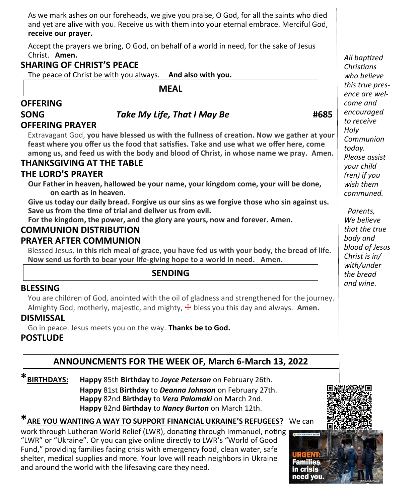As we mark ashes on our foreheads, we give you praise, O God, for all the saints who died and yet are alive with you. Receive us with them into your eternal embrace. Merciful God, **receive our prayer.**

Accept the prayers we bring, O God, on behalf of a world in need, for the sake of Jesus Christ. **Amen.**

# **SHARING OF CHRIST'S PEACE**

The peace of Christ be with you always. **And also with you.**

**MEAL**

# **OFFERING**

# **SONG** *Take My Life, That I May Be* **#685**

# **OFFERING PRAYER**

Extravagant God, **you have blessed us with the fullness of creation. Now we gather at your feast where you offer us the food that satisfies. Take and use what we offer here, come among us, and feed us with the body and blood of Christ, in whose name we pray. Amen.**

### **THANKSGIVING AT THE TABLE**

### **THE LORD'S PRAYER**

**Our Father in heaven, hallowed be your name, your kingdom come, your will be done, on earth as in heaven.**

**Give us today our daily bread. Forgive us our sins as we forgive those who sin against us. Save us from the time of trial and deliver us from evil.**

**For the kingdom, the power, and the glory are yours, now and forever. Amen.**

#### **COMMUNION DISTRIBUTION PRAYER AFTER COMMUNION**

Blessed Jesus, **in this rich meal of grace, you have fed us with your body, the bread of life. Now send us forth to bear your life-giving hope to a world in need. Amen.**

# **SENDING**

### **BLESSING**

You are children of God, anointed with the oil of gladness and strengthened for the journey. Almighty God, motherly, majestic, and mighty,  $\frac{1}{T}$  bless you this day and always. Amen.

### **DISMISSAL**

Go in peace. Jesus meets you on the way. **Thanks be to God.**

# **POSTLUDE**

# **ANNOUNCMENTS FOR THE WEEK OF, March 6-March 13, 2022**

**\*BIRTHDAYS: Happy** 85th **Birthday** to *Joyce Peterson* on February 26th. **Happy** 81st **Birthday** to *Deanna Johnson* on February 27th. **Happy** 82nd **Birthday** to *Vera Palomaki* on March 2nd. **Happy** 82nd **Birthday** to *Nancy Burton* on March 12th.

# **\*ARE YOU WANTING A WAY TO SUPPORT FINANCIAL UKRAINE'S REFUGEES?** We can

work through Lutheran World Relief (LWR), donating through Immanuel, noting "LWR" or "Ukraine". Or you can give online directly to LWR's "World of Good Fund," providing families facing crisis with emergency food, clean water, safe shelter, medical supplies and more. Your love will reach neighbors in Ukraine and around the world with the lifesaving care they need.

 *Parents, We believe that the true body and blood of Jesus Christ is in/ with/under the bread and wine.* 

*All baptized Christians who believe this true presence are welcome and encouraged to receive Holy Communion today. Please assist your child (ren) if you wish them communed.*

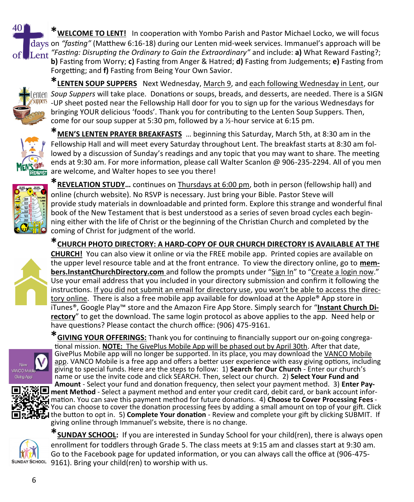**\*WELCOME TO LENT!** In cooperation with Yombo Parish and Pastor Michael Locko, we will focus days on "fasting" (Matthew 6:16-18) during our Lenten mid-week services. Immanuel's approach will be *"Fasting: Disrupting the Ordinary to Gain the Extraordinary"* and include: **a)** What Reward Fasting?; **b)** Fasting from Worry; **c)** Fasting from Anger & Hatred; **d)** Fasting from Judgements; **e)** Fasting from Forgetting; and **f)** Fasting from Being Your Own Savior.



401

**\*LENTEN SOUP SUPPERS** Next Wednesday, March 9, and each following Wednesday in Lent, our *Soup Suppers* will take place. Donations or soups, breads, and desserts, are needed. There is a SIGN **WIPPETS** -UP sheet posted near the Fellowship Hall door for you to sign up for the various Wednesdays for bringing YOUR delicious 'foods'. Thank you for contributing to the Lenten Soup Suppers. Then, come for our soup supper at 5:30 pm, followed by a ½-hour service at 6:15 pm.



**\*MEN'S LENTEN PRAYER BREAKFASTS** … beginning this Saturday, March 5th, at 8:30 am in the Fellowship Hall and will meet every Saturday throughout Lent. The breakfast starts at 8:30 am followed by a discussion of Sunday's readings and any topic that you may want to share. The meeting ends at 9:30 am. For more information, please call Walter Scanlon @ 906-235-2294. All of you men are welcome, and Walter hopes to see you there!



**\*REVELATION STUDY…** continues on Thursdays at 6:00 pm, both in person (fellowship hall) and online (church website). No RSVP is necessary. Just bring your Bible. Pastor Steve will provide study materials in downloadable and printed form. Explore this strange and wonderful final book of the New Testament that is best understood as a series of seven broad cycles each beginning either with the life of Christ or the beginning of the Christian Church and completed by the coming of Christ for judgment of the world.

**\*CHURCH PHOTO DIRECTORY: A HARD-COPY OF OUR CHURCH DIRECTORY IS AVAILABLE AT THE** 

**CHURCH!** You can also view it online or via the FREE mobile app. Printed copies are available on the upper level resource table and at the front entrance. To view the directory online, go to **members.InstantChurchDirectory.com** and follow the prompts under "Sign In" to "Create a login now." Use your email address that you included in your directory submission and confirm it following the instructions. If you did not submit an email for directory use, you won't be able to access the directory online. There is also a free mobile app available for download at the Apple® App store in iTunes®, Google Play™ store and the Amazon Fire App Store. Simply search for "**Instant Church Directory**" to get the download. The same login protocol as above applies to the app. Need help or have questions? Please contact the church office: (906) 475-9161.





**\*GIVING YOUR OFFERINGS:** Thank you for continuing to financially support our on-going congregational mission. **NOTE:** The GivePlus Mobile App will be phased out by April 30th. After that date, GivePlus Mobile app will no longer be supported. In its place, you may download the VANCO Mobile app. VANCO Mobile is a free app and offers a better user experience with easy giving options, including giving to special funds. Here are the steps to follow: 1) **Search for Our Church** - Enter our church's name or use the invite code and click SEARCH. Then, select our church. 2) **Select Your Fund and Amount** - Select your fund and donation frequency, then select your payment method. 3) **Enter Payment Method** - Select a payment method and enter your credit card, debit card, or bank account information. You can save this payment method for future donations. 4) **Choose to Cover Processing Fees** -

You can choose to cover the donation processing fees by adding a small amount on top of your gift. Click the button to opt in. 5) **Complete Your donation** - Review and complete your gift by clicking SUBMIT. If giving online through Immanuel's website, there is no change.



**\*SUNDAY SCHOOL:** If you are interested in Sunday School for your child(ren), there is always open enrollment for toddlers through Grade 5. The class meets at 9:15 am and classes start at 9:30 am. Go to the Facebook page for updated information, or you can always call the office at (906-475- 9161). Bring your child(ren) to worship with us.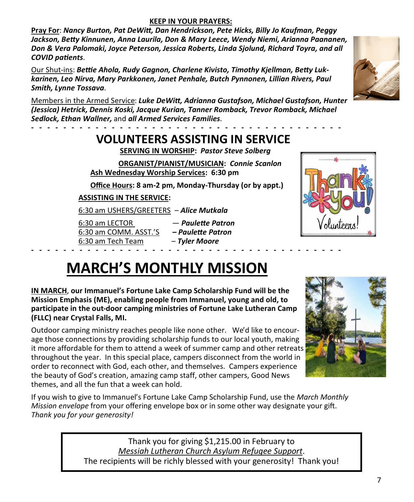#### **KEEP IN YOUR PRAYERS:**

**Pray For**: *Nancy Burton, Pat DeWitt, Dan Hendrickson, Pete Hicks, Billy Jo Kaufman, Peggy Jackson, Betty Kinnunen, Anna Laurila, Don & Mary Leece, Wendy Niemi, Arianna Paananen, Don & Vera Palomaki, Joyce Peterson, Jessica Roberts, Linda Sjolund, Richard Toyra, and all COVID patients*.

Our Shut-ins: *Bettie Ahola, Rudy Gagnon, Charlene Kivisto, Timothy Kjellman, Betty Lukkarinen, Leo Nirva, Mary Parkkonen, Janet Penhale, Butch Pynnonen, Lillian Rivers, Paul Smith, Lynne Tossava*.



Members in the Armed Service: *Luke DeWitt, Adrianna Gustafson, Michael Gustafson, Hunter (Jessica) Hetrick, Dennis Koski, Jacque Kurian, Tanner Romback, Trevor Romback, Michael Sedlock, Ethan Wallner,* and *all Armed Services Families.*

# **- - - - - - - - - - - - - - - - - - - - - - - - - - - - - - - - - - - - - - - VOLUNTEERS ASSISTING IN SERVICE**

 **SERVING IN WORSHIP:** *Pastor Steve Solberg*

 **ORGANIST/PIANIST/MUSICIAN:** *Connie Scanlon* **Ash Wednesday Worship Services: 6:30 pm**

**Office Hours: 8 am-2 pm, Monday-Thursday (or by appt.)**

### **ASSISTING IN THE SERVICE:**

6:30 am USHERS/GREETERS – *Alice Mutkala*

6:30 am LECTOR — *Paulette Patron* 6:30 am COMM. ASST.'S *– Paulette Patron* 6:30 am Tech Team – *Tyler Moore* **- - - - - - - - - - - - - - - - - - - - - - - - - - - - - - - - - - - - - - -** 



# **MARCH'S MONTHLY MISSION**

**IN MARCH**, **our Immanuel's Fortune Lake Camp Scholarship Fund will be the Mission Emphasis (ME), enabling people from Immanuel, young and old, to participate in the out-door camping ministries of Fortune Lake Lutheran Camp (FLLC) near Crystal Falls, MI.**

Outdoor camping ministry reaches people like none other. We'd like to encourage those connections by providing scholarship funds to our local youth, making it more affordable for them to attend a week of summer camp and other retreats throughout the year. In this special place, campers disconnect from the world in order to reconnect with God, each other, and themselves. Campers experience the beauty of God's creation, amazing camp staff, other campers, Good News themes, and all the fun that a week can hold.

If you wish to give to Immanuel's Fortune Lake Camp Scholarship Fund, use the *March Monthly Mission envelope* from your offering envelope box or in some other way designate your gift. *Thank you for your generosity!* 

> Thank you for giving \$1,215.00 in February to *Messiah Lutheran Church Asylum Refugee Support*. The recipients will be richly blessed with your generosity! Thank you!